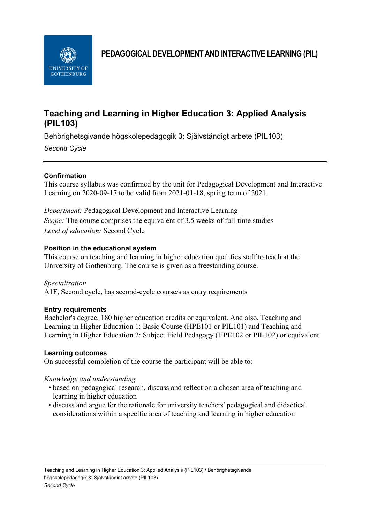

**PEDAGOGICAL DEVELOPMENT AND INTERACTIVE LEARNING (PIL)**

# **Teaching and Learning in Higher Education 3: Applied Analysis (PIL103)**

Behörighetsgivande högskolepedagogik 3: Självständigt arbete (PIL103)

*Second Cycle*

# **Confirmation**

This course syllabus was confirmed by the unit for Pedagogical Development and Interactive Learning on 2020-09-17 to be valid from 2021-01-18, spring term of 2021.

*Department:* Pedagogical Development and Interactive Learning *Scope:* The course comprises the equivalent of 3.5 weeks of full-time studies *Level of education:* Second Cycle

# **Position in the educational system**

This course on teaching and learning in higher education qualifies staff to teach at the University of Gothenburg. The course is given as a freestanding course.

*Specialization* A1F, Second cycle, has second-cycle course/s as entry requirements

# **Entry requirements**

Bachelor's degree, 180 higher education credits or equivalent. And also, Teaching and Learning in Higher Education 1: Basic Course (HPE101 or PIL101) and Teaching and Learning in Higher Education 2: Subject Field Pedagogy (HPE102 or PIL102) or equivalent.

# **Learning outcomes**

On successful completion of the course the participant will be able to:

# *Knowledge and understanding*

- based on pedagogical research, discuss and reflect on a chosen area of teaching and learning in higher education
- discuss and argue for the rationale for university teachers' pedagogical and didactical considerations within a specific area of teaching and learning in higher education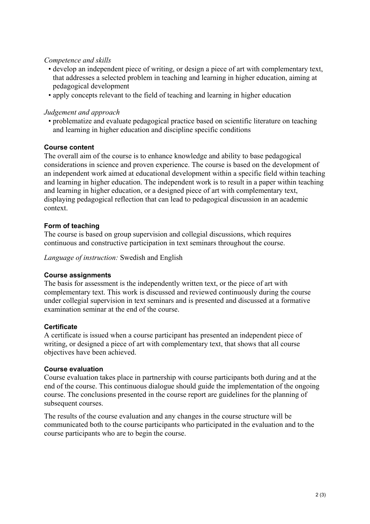#### *Competence and skills*

- develop an independent piece of writing, or design a piece of art with complementary text, that addresses a selected problem in teaching and learning in higher education, aiming at pedagogical development
- apply concepts relevant to the field of teaching and learning in higher education

#### *Judgement and approach*

• problematize and evaluate pedagogical practice based on scientific literature on teaching and learning in higher education and discipline specific conditions

#### **Course content**

The overall aim of the course is to enhance knowledge and ability to base pedagogical considerations in science and proven experience. The course is based on the development of an independent work aimed at educational development within a specific field within teaching and learning in higher education. The independent work is to result in a paper within teaching and learning in higher education, or a designed piece of art with complementary text, displaying pedagogical reflection that can lead to pedagogical discussion in an academic context.

# **Form of teaching**

The course is based on group supervision and collegial discussions, which requires continuous and constructive participation in text seminars throughout the course.

*Language of instruction:* Swedish and English

#### **Course assignments**

The basis for assessment is the independently written text, or the piece of art with complementary text. This work is discussed and reviewed continuously during the course under collegial supervision in text seminars and is presented and discussed at a formative examination seminar at the end of the course.

# **Certificate**

A certificate is issued when a course participant has presented an independent piece of writing, or designed a piece of art with complementary text, that shows that all course objectives have been achieved.

#### **Course evaluation**

Course evaluation takes place in partnership with course participants both during and at the end of the course. This continuous dialogue should guide the implementation of the ongoing course. The conclusions presented in the course report are guidelines for the planning of subsequent courses.

The results of the course evaluation and any changes in the course structure will be communicated both to the course participants who participated in the evaluation and to the course participants who are to begin the course.